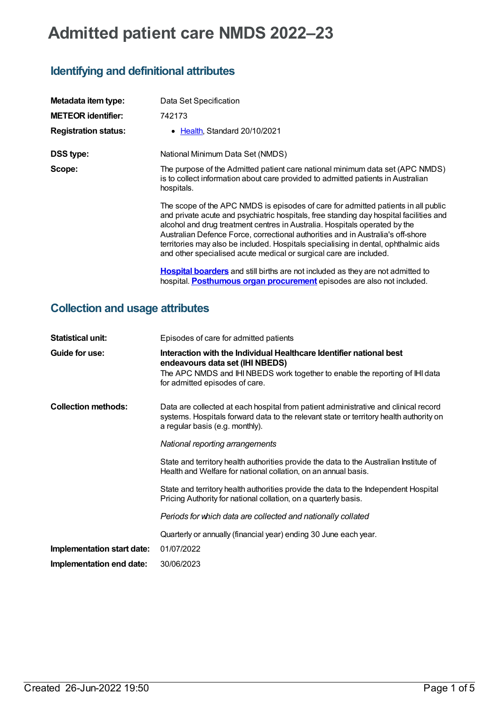## **Admitted patient care NMDS 2022–23**

## **Identifying and definitional attributes**

| Metadata item type:         | Data Set Specification                                                                                                                                                                                                                                                                                                                                                                                                                                                                                    |
|-----------------------------|-----------------------------------------------------------------------------------------------------------------------------------------------------------------------------------------------------------------------------------------------------------------------------------------------------------------------------------------------------------------------------------------------------------------------------------------------------------------------------------------------------------|
| <b>METEOR identifier:</b>   | 742173                                                                                                                                                                                                                                                                                                                                                                                                                                                                                                    |
| <b>Registration status:</b> | • Health, Standard 20/10/2021                                                                                                                                                                                                                                                                                                                                                                                                                                                                             |
| <b>DSS type:</b>            | National Minimum Data Set (NMDS)                                                                                                                                                                                                                                                                                                                                                                                                                                                                          |
| Scope:                      | The purpose of the Admitted patient care national minimum data set (APC NMDS)<br>is to collect information about care provided to admitted patients in Australian<br>hospitals.                                                                                                                                                                                                                                                                                                                           |
|                             | The scope of the APC NMDS is episodes of care for admitted patients in all public<br>and private acute and psychiatric hospitals, free standing day hospital facilities and<br>alcohol and drug treatment centres in Australia. Hospitals operated by the<br>Australian Defence Force, correctional authorities and in Australia's off-shore<br>territories may also be included. Hospitals specialising in dental, ophthalmic aids<br>and other specialised acute medical or surgical care are included. |
|                             | Hospital boarders and still births are not included as they are not admitted to<br>hospital. Posthumous organ procurement episodes are also not included.                                                                                                                                                                                                                                                                                                                                                 |

## **Collection and usage attributes**

| <b>Statistical unit:</b>   | Episodes of care for admitted patients                                                                                                                                                                                   |
|----------------------------|--------------------------------------------------------------------------------------------------------------------------------------------------------------------------------------------------------------------------|
| Guide for use:             | Interaction with the Individual Healthcare Identifier national best<br>endeavours data set (IHI NBEDS)<br>The APC NMDS and IHI NBEDS work together to enable the reporting of IHI data<br>for admitted episodes of care. |
| <b>Collection methods:</b> | Data are collected at each hospital from patient administrative and clinical record<br>systems. Hospitals forward data to the relevant state or territory health authority on<br>a regular basis (e.g. monthly).         |
|                            | National reporting arrangements                                                                                                                                                                                          |
|                            | State and territory health authorities provide the data to the Australian Institute of<br>Health and Welfare for national collation, on an annual basis.                                                                 |
|                            | State and territory health authorities provide the data to the Independent Hospital<br>Pricing Authority for national collation, on a quarterly basis.                                                                   |
|                            | Periods for which data are collected and nationally collated                                                                                                                                                             |
|                            | Quarterly or annually (financial year) ending 30 June each year.                                                                                                                                                         |
| Implementation start date: | 01/07/2022                                                                                                                                                                                                               |
| Implementation end date:   | 30/06/2023                                                                                                                                                                                                               |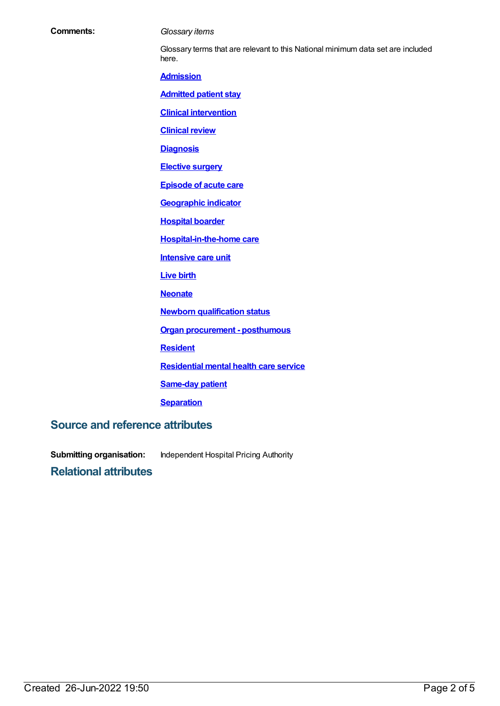| <b>Comments:</b>                       | Glossary items                                                                           |
|----------------------------------------|------------------------------------------------------------------------------------------|
|                                        | Glossary terms that are relevant to this National minimum data set are included<br>here. |
|                                        | <b>Admission</b>                                                                         |
|                                        | <b>Admitted patient stay</b>                                                             |
|                                        | <b>Clinical intervention</b>                                                             |
|                                        | <b>Clinical review</b>                                                                   |
|                                        | <b>Diagnosis</b>                                                                         |
|                                        | <b>Elective surgery</b>                                                                  |
|                                        | <b>Episode of acute care</b>                                                             |
|                                        | <b>Geographic indicator</b>                                                              |
|                                        | <b>Hospital boarder</b>                                                                  |
|                                        | <b>Hospital-in-the-home care</b>                                                         |
|                                        | <b>Intensive care unit</b>                                                               |
|                                        | <b>Live birth</b>                                                                        |
|                                        | <b>Neonate</b>                                                                           |
|                                        | <b>Newborn qualification status</b>                                                      |
|                                        | <b>Organ procurement - posthumous</b>                                                    |
|                                        | <b>Resident</b>                                                                          |
|                                        | <b>Residential mental health care service</b>                                            |
|                                        | <b>Same-day patient</b>                                                                  |
|                                        | <b>Separation</b>                                                                        |
| <b>Source and reference attributes</b> |                                                                                          |

**Submitting organisation:** Independent Hospital Pricing Authority

**Relational attributes**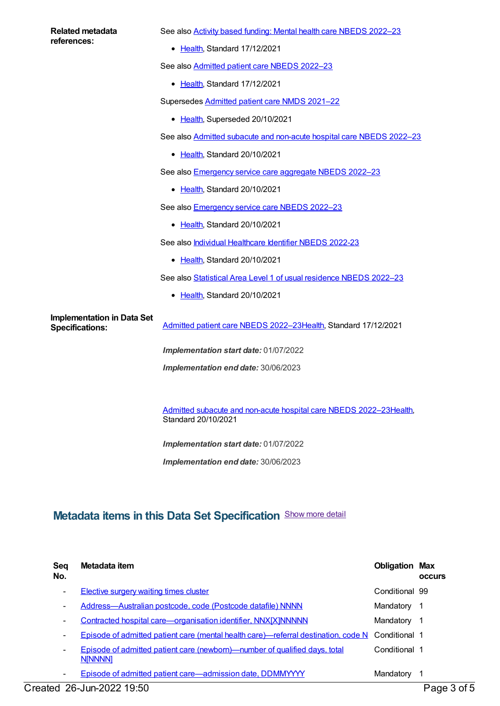| Related metadata<br>references:                             | See also <b>Activity based funding: Mental health care NBEDS 2022-23</b>                  |
|-------------------------------------------------------------|-------------------------------------------------------------------------------------------|
|                                                             | • Health, Standard 17/12/2021                                                             |
|                                                             | See also Admitted patient care NBEDS 2022-23                                              |
|                                                             | • Health, Standard 17/12/2021                                                             |
|                                                             | Supersedes Admitted patient care NMDS 2021-22                                             |
|                                                             | • Health, Superseded 20/10/2021                                                           |
|                                                             | See also Admitted subacute and non-acute hospital care NBEDS 2022-23                      |
|                                                             | • Health, Standard 20/10/2021                                                             |
|                                                             | See also <b>Emergency service care aggregate NBEDS 2022-23</b>                            |
|                                                             | • Health, Standard 20/10/2021                                                             |
|                                                             | See also <b>Emergency service care NBEDS 2022-23</b>                                      |
|                                                             | • Health, Standard 20/10/2021                                                             |
|                                                             | See also Individual Healthcare Identifier NBEDS 2022-23                                   |
|                                                             | • Health, Standard 20/10/2021                                                             |
|                                                             | See also Statistical Area Level 1 of usual residence NBEDS 2022-23                        |
|                                                             | • Health, Standard 20/10/2021                                                             |
| <b>Implementation in Data Set</b><br><b>Specifications:</b> | Admitted patient care NBEDS 2022-23Health, Standard 17/12/2021                            |
|                                                             | Implementation start date: 01/07/2022                                                     |
|                                                             | Implementation end date: 30/06/2023                                                       |
|                                                             |                                                                                           |
|                                                             | Admitted subacute and non-acute hospital care NBEDS 2022-23Health,<br>Standard 20/10/2021 |
|                                                             | Implementation start date: 01/07/2022                                                     |
|                                                             | Implementation end date: 30/06/2023                                                       |
|                                                             |                                                                                           |
|                                                             |                                                                                           |

## **Metadata items in this Data Set Specification** Show more detail

| Seq<br>No. | Metadata item                                                                                | <b>Obligation Max</b> | <b>OCCUIS</b> |
|------------|----------------------------------------------------------------------------------------------|-----------------------|---------------|
| -          | <b>Elective surgery waiting times cluster</b>                                                | Conditional 99        |               |
| -          | Address-Australian postcode, code (Postcode datafile) NNNN                                   | Mandatory             | -1            |
| -          | <b>Contracted hospital care—organisation identifier, NNX[X]NNNNN</b>                         | Mandatory             | -1            |
| -          | Episode of admitted patient care (mental health care)—referral destination, code N           | Conditional 1         |               |
| ۰          | Episode of admitted patient care (newborn)—number of qualified days, total<br><b>N[NNNN]</b> | Conditional 1         |               |
| ٠          | Episode of admitted patient care—admission date, DDMMYYYY                                    | Mandatory             | -1            |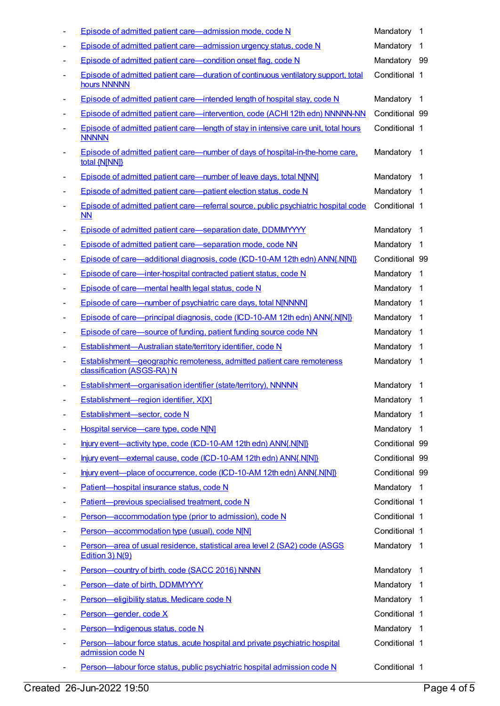|                          | Episode of admitted patient care—admission mode, code N                                             | Mandatory 1    |                          |
|--------------------------|-----------------------------------------------------------------------------------------------------|----------------|--------------------------|
|                          | Episode of admitted patient care—admission urgency status, code N                                   | Mandatory      | 1                        |
|                          | Episode of admitted patient care-condition onset flag, code N                                       | Mandatory 99   |                          |
| $\overline{\phantom{a}}$ | Episode of admitted patient care—duration of continuous ventilatory support, total<br>hours NNNNN   | Conditional 1  |                          |
|                          | Episode of admitted patient care—intended length of hospital stay, code N                           | Mandatory 1    |                          |
|                          | Episode of admitted patient care-intervention, code (ACHI 12th edn) NNNNN-NN                        | Conditional 99 |                          |
|                          | Episode of admitted patient care—length of stay in intensive care unit, total hours<br><b>NNNNN</b> | Conditional 1  |                          |
|                          | Episode of admitted patient care—number of days of hospital-in-the-home care,<br>total {N[NN]}      | Mandatory 1    |                          |
|                          | Episode of admitted patient care—number of leave days, total N[NN]                                  | Mandatory      | -1                       |
|                          | Episode of admitted patient care—patient election status, code N                                    | Mandatory 1    |                          |
| ٠                        | Episode of admitted patient care—referral source, public psychiatric hospital code<br><b>NN</b>     | Conditional 1  |                          |
|                          | Episode of admitted patient care-separation date, DDMMYYYY                                          | Mandatory      | $\overline{1}$           |
| $\overline{a}$           | Episode of admitted patient care-separation mode, code NN                                           | Mandatory      | $\overline{1}$           |
|                          | Episode of care—additional diagnosis, code (ICD-10-AM 12th edn) ANN{.N[N]}                          | Conditional 99 |                          |
| -                        | Episode of care-inter-hospital contracted patient status, code N                                    | Mandatory      | $\overline{1}$           |
|                          | Episode of care—mental health legal status, code N                                                  | Mandatory 1    |                          |
|                          | Episode of care—number of psychiatric care days, total N[NNNN]                                      | Mandatory      | $\overline{\phantom{1}}$ |
|                          | Episode of care-principal diagnosis, code (ICD-10-AM 12th edn) ANN{.N[N]}                           | Mandatory      | $\overline{1}$           |
| ٠                        | Episode of care—source of funding, patient funding source code NN                                   | Mandatory      | $\overline{1}$           |
| ٠                        | Establishment-Australian state/territory identifier, code N                                         | Mandatory      | -1                       |
|                          | Establishment-geographic remoteness, admitted patient care remoteness<br>classification (ASGS-RA) N | Mandatory      | -1                       |
|                          | Establishment-organisation identifier (state/territory), NNNNN                                      | Mandatory      | $\overline{1}$           |
|                          | Establishment-region identifier, X[X]                                                               | Mandatory      | $\overline{1}$           |
|                          | Establishment-sector, code N                                                                        | Mandatory      | $\overline{1}$           |
|                          | Hospital service-care type, code N[N]                                                               | Mandatory 1    |                          |
|                          | Injury event-activity type, code (ICD-10-AM 12th edn) ANN{.N[N]}                                    | Conditional 99 |                          |
|                          | Injury event-external cause, code (ICD-10-AM 12th edn) ANN{.N[N]}                                   | Conditional 99 |                          |
|                          | Injury event-place of occurrence, code (ICD-10-AM 12th edn) ANN{.N[N]}                              | Conditional 99 |                          |
| -                        | Patient-hospital insurance status, code N                                                           | Mandatory 1    |                          |
| -                        | Patient-previous specialised treatment, code N                                                      | Conditional 1  |                          |
|                          | Person-accommodation type (prior to admission), code N                                              | Conditional 1  |                          |
|                          | Person-accommodation type (usual), code N[N]                                                        | Conditional 1  |                          |
|                          | Person-area of usual residence, statistical area level 2 (SA2) code (ASGS<br>Edition 3) N(9)        | Mandatory 1    |                          |
|                          | Person-country of birth, code (SACC 2016) NNNN                                                      | Mandatory 1    |                          |
|                          | Person-date of birth, DDMMYYYY                                                                      | Mandatory      | - 1                      |
|                          | Person-eligibility status, Medicare code N                                                          | Mandatory 1    |                          |
|                          | Person-gender, code X                                                                               | Conditional 1  |                          |
| -                        | Person-Indigenous status, code N                                                                    | Mandatory 1    |                          |
|                          | Person-labour force status, acute hospital and private psychiatric hospital<br>admission code N     | Conditional 1  |                          |
| ٠                        | Person-labour force status, public psychiatric hospital admission code N                            | Conditional 1  |                          |